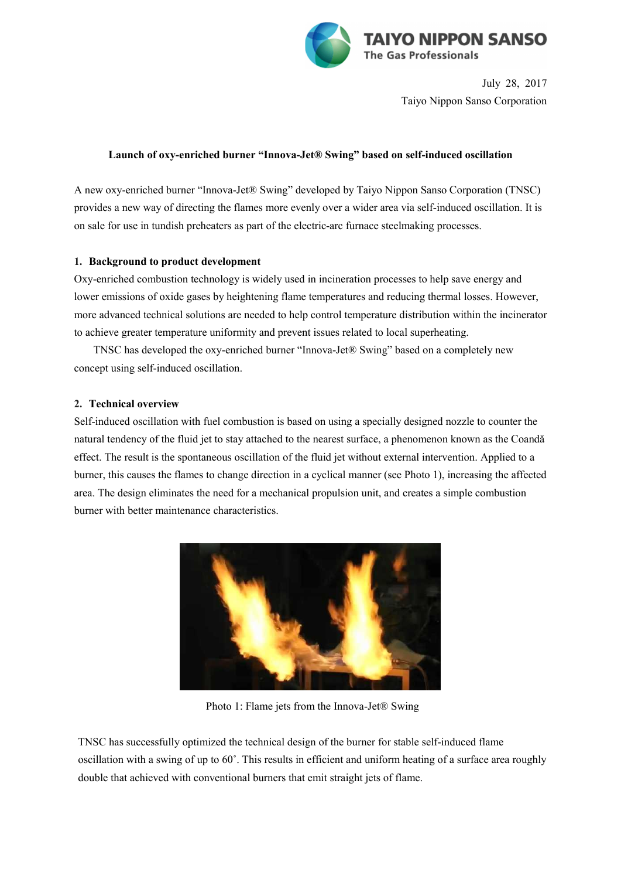

July 28, 2017 Taiyo Nippon Sanso Corporation

### **Launch of oxy-enriched burner "Innova-Jet® Swing" based on self-induced oscillation**

A new oxy-enriched burner "Innova-Jet® Swing" developed by Taiyo Nippon Sanso Corporation (TNSC) provides a new way of directing the flames more evenly over a wider area via self-induced oscillation. It is on sale for use in tundish preheaters as part of the electric-arc furnace steelmaking processes.

# **1. Background to product development**

Oxy-enriched combustion technology is widely used in incineration processes to help save energy and lower emissions of oxide gases by heightening flame temperatures and reducing thermal losses. However, more advanced technical solutions are needed to help control temperature distribution within the incinerator to achieve greater temperature uniformity and prevent issues related to local superheating.

TNSC has developed the oxy-enriched burner "Innova-Jet® Swing" based on a completely new concept using self-induced oscillation.

# **2. Technical overview**

Self-induced oscillation with fuel combustion is based on using a specially designed nozzle to counter the natural tendency of the fluid jet to stay attached to the nearest surface, a phenomenon known as the Coandă effect. The result is the spontaneous oscillation of the fluid jet without external intervention. Applied to a burner, this causes the flames to change direction in a cyclical manner (see Photo 1), increasing the affected area. The design eliminates the need for a mechanical propulsion unit, and creates a simple combustion burner with better maintenance characteristics.



Photo 1: Flame jets from the Innova-Jet® Swing

TNSC has successfully optimized the technical design of the burner for stable self-induced flame oscillation with a swing of up to 60˚. This results in efficient and uniform heating of a surface area roughly double that achieved with conventional burners that emit straight jets of flame.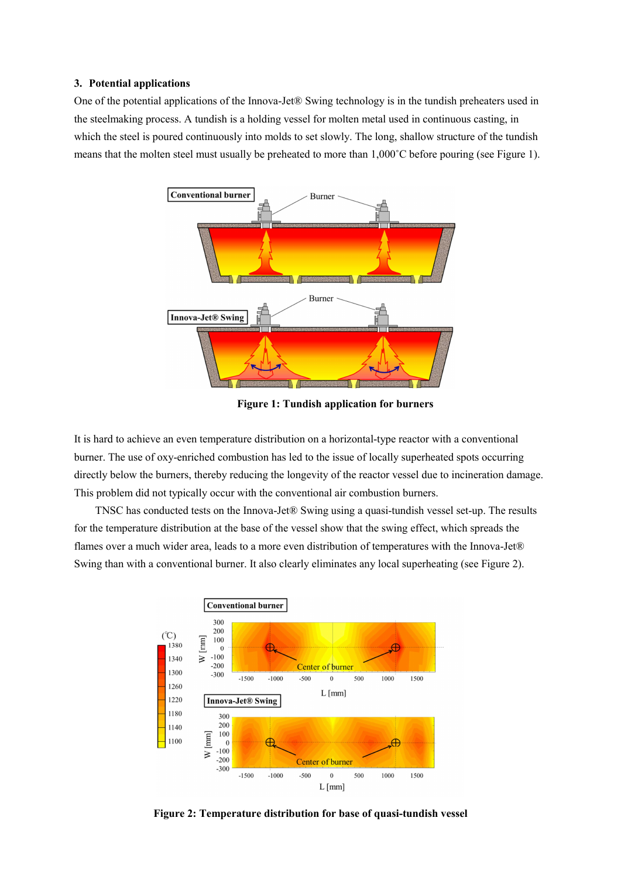#### **3. Potential applications**

One of the potential applications of the Innova-Jet® Swing technology is in the tundish preheaters used in the steelmaking process. A tundish is a holding vessel for molten metal used in continuous casting, in which the steel is poured continuously into molds to set slowly. The long, shallow structure of the tundish means that the molten steel must usually be preheated to more than 1,000˚C before pouring (see Figure 1).



**Figure 1: Tundish application for burners**

It is hard to achieve an even temperature distribution on a horizontal-type reactor with a conventional burner. The use of oxy-enriched combustion has led to the issue of locally superheated spots occurring directly below the burners, thereby reducing the longevity of the reactor vessel due to incineration damage. This problem did not typically occur with the conventional air combustion burners.

TNSC has conducted tests on the Innova-Jet® Swing using a quasi-tundish vessel set-up. The results for the temperature distribution at the base of the vessel show that the swing effect, which spreads the flames over a much wider area, leads to a more even distribution of temperatures with the Innova-Jet® Swing than with a conventional burner. It also clearly eliminates any local superheating (see Figure 2).



**Figure 2: Temperature distribution for base of quasi-tundish vessel**